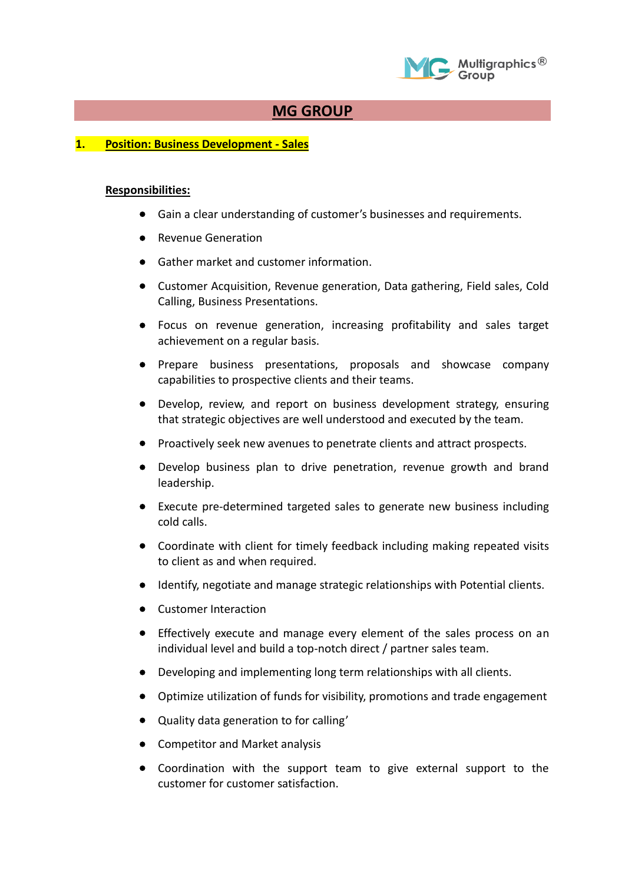

## **MG GROUP**

## **1. Position: Business Development - Sales**

## **Responsibilities:**

- Gain a clear understanding of customer's businesses and requirements.
- Revenue Generation
- Gather market and customer information.
- Customer Acquisition, Revenue generation, Data gathering, Field sales, Cold Calling, Business Presentations.
- Focus on revenue generation, increasing profitability and sales target achievement on a regular basis.
- Prepare business presentations, proposals and showcase company capabilities to prospective clients and their teams.
- Develop, review, and report on business development strategy, ensuring that strategic objectives are well understood and executed by the team.
- Proactively seek new avenues to penetrate clients and attract prospects.
- Develop business plan to drive penetration, revenue growth and brand leadership.
- Execute pre-determined targeted sales to generate new business including cold calls.
- Coordinate with client for timely feedback including making repeated visits to client as and when required.
- Identify, negotiate and manage strategic relationships with Potential clients.
- Customer Interaction
- Effectively execute and manage every element of the sales process on an individual level and build a top-notch direct / partner sales team.
- Developing and implementing long term relationships with all clients.
- Optimize utilization of funds for visibility, promotions and trade engagement
- Quality data generation to for calling'
- Competitor and Market analysis
- Coordination with the support team to give external support to the customer for customer satisfaction.